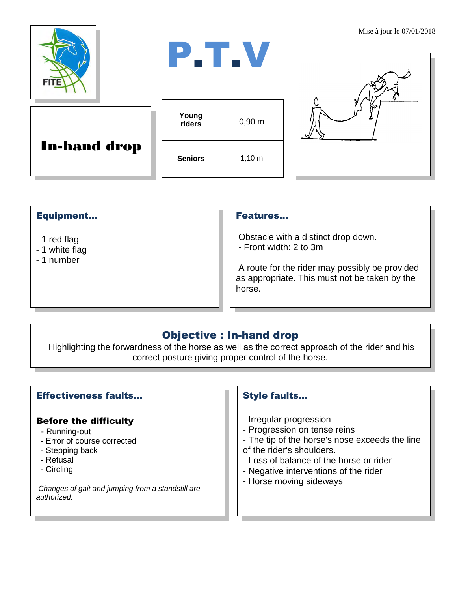

| and the state of the state of the state of the state of the state of the state of the state of the state of th | a sa B<br>. . | a sa T |  |
|----------------------------------------------------------------------------------------------------------------|---------------|--------|--|
|                                                                                                                |               |        |  |

| <b>In-hand drop</b> |  |
|---------------------|--|
|---------------------|--|





## Equipment...

- 1 red flag
- 1 white flag
- 1 number

#### Features…

Obstacle with a distinct drop down. - Front width: 2 to 3m

A route for the rider may possibly be provided as appropriate. This must not be taken by the horse.

# Objective : In-hand drop

Highlighting the forwardness of the horse as well as the correct approach of the rider and his correct posture giving proper control of the horse.

## Effectiveness faults…

### Before the difficulty

- Running-out
- Error of course corrected
- Stepping back
- Refusal
- Circling

*Changes of gait and jumping from a standstill are authorized.*

### Style faults…

- Irregular progression
- Progression on tense reins
- The tip of the horse's nose exceeds the line of the rider's shoulders.
- Loss of balance of the horse or rider
- Negative interventions of the rider
- Horse moving sideways